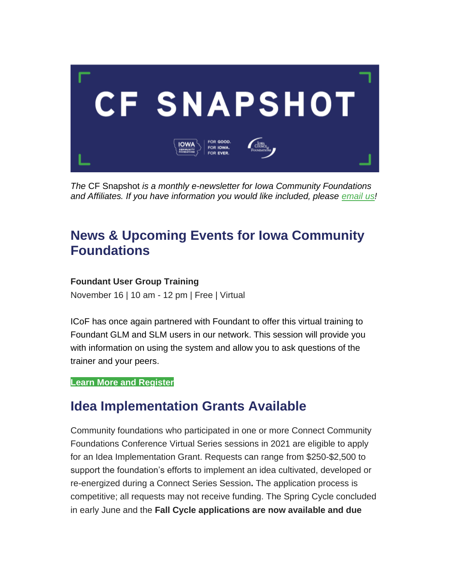

*The* CF Snapshot *is a monthly e-newsletter for Iowa Community Foundations and Affiliates. If you have information you would like included, please [email](mailto:jmanders@iowacounciloffoundations.org) us!*

# **News & Upcoming Events for Iowa Community Foundations**

### **Foundant User Group Training**

November 16 | 10 am - 12 pm | Free | Virtual

ICoF has once again partnered with Foundant to offer this virtual training to Foundant GLM and SLM users in our network. This session will provide you with information on using the system and allow you to ask questions of the trainer and your peers.

#### **[Learn More and Register](https://info.foundant.com/2021-11-16GLMSLMICOFVirtualUserGroup_RegistrationLP.html)**

# **Idea Implementation Grants Available**

Community foundations who participated in one or more Connect Community Foundations Conference Virtual Series sessions in 2021 are eligible to apply for an Idea Implementation Grant. Requests can range from \$250-\$2,500 to support the foundation's efforts to implement an idea cultivated, developed or re-energized during a Connect Series Session**.** The application process is competitive; all requests may not receive funding. The Spring Cycle concluded in early June and the **Fall Cycle applications are now available and due**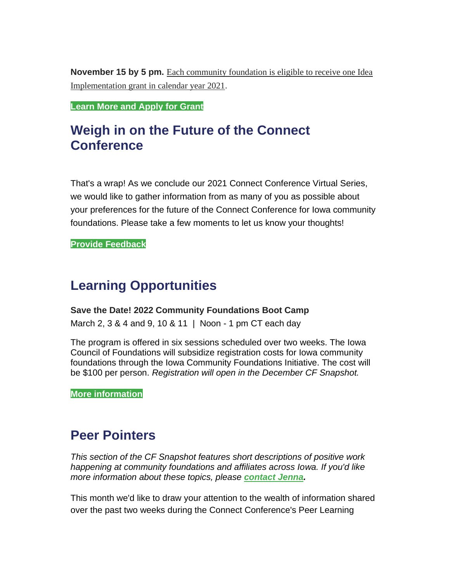**November 15 by 5 pm.** Each community foundation is eligible to receive one Idea Implementation grant in calendar year 2021.

**[Learn More and Apply for Grant](https://iowacounciloffoundations.org/grant-opportunities/)**

## **Weigh in on the Future of the Connect Conference**

That's a wrap! As we conclude our 2021 Connect Conference Virtual Series, we would like to gather information from as many of you as possible about your preferences for the future of the Connect Conference for Iowa community foundations. Please take a few moments to let us know your thoughts!

**[Provide Feedback](https://www.surveymonkey.com/r/5DPDLP9)**

### **Learning Opportunities**

#### **Save the Date! 2022 Community Foundations Boot Camp**

March 2, 3 & 4 and 9, 10 & 11 | Noon - 1 pm CT each day

The program is offered in six sessions scheduled over two weeks. The Iowa Council of Foundations will subsidize registration costs for Iowa community foundations through the Iowa Community Foundations Initiative. The cost will be \$100 per person. *Registration will open in the December CF Snapshot.*

**[More information](https://wa.iowacounciloffoundations.org/event-4534329)**

### **Peer Pointers**

*This section of the CF Snapshot features short descriptions of positive work happening at community foundations and affiliates across Iowa. If you'd like more information about these topics, please [contact Jenna.](mailto:jmanders@iowacounciloffoundations.org)*

This month we'd like to draw your attention to the wealth of information shared over the past two weeks during the Connect Conference's Peer Learning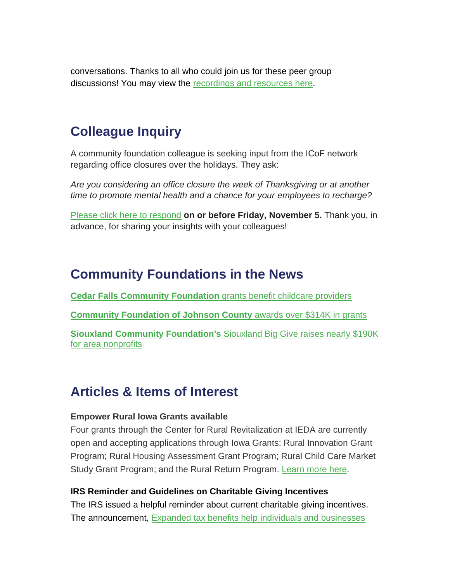conversations. Thanks to all who could join us for these peer group discussions! You may view the [recordings and resources here.](https://iowacounciloffoundations.org/connect-resources-2/)

# **Colleague Inquiry**

A community foundation colleague is seeking input from the ICoF network regarding office closures over the holidays. They ask:

*Are you considering an office closure the week of Thanksgiving or at another time to promote mental health and a chance for your employees to recharge?*

[Please click here](mailto:jmanders@iowacounciloffoundations.org) to respond **on or before Friday, November 5.** Thank you, in advance, for sharing your insights with your colleagues!

## **Community Foundations in the News**

**[Cedar Falls Community Foundation](https://wcfcourier.com/news/local/childcare-providers-to-benefit-from-cedar-falls-community-foundation-grants/article_3209ec28-94a7-5d09-8a89-0977c9a087c7.html)** grants benefit childcare providers

**[Community Foundation of Johnson County](https://cfjc.org/2021-community-grants-awards/)** awards over \$314K in grants

**Siouxland Community Foundation's** [Siouxland Big Give raises nearly \\$190K](https://siouxcityjournal.com/news/local/briefs/raising-nearly-190-000-siouxland-big-give-had-record-breaking-year/article_cb83fea1-56af-527a-94aa-aff80655ccd8.html)  [for area nonprofits](https://siouxcityjournal.com/news/local/briefs/raising-nearly-190-000-siouxland-big-give-had-record-breaking-year/article_cb83fea1-56af-527a-94aa-aff80655ccd8.html)

# **Articles & Items of Interest**

#### **Empower Rural Iowa Grants available**

Four grants through the Center for Rural Revitalization at IEDA are currently open and accepting applications through Iowa Grants: Rural Innovation Grant Program; Rural Housing Assessment Grant Program; Rural Child Care Market Study Grant Program; and the Rural Return Program. [Learn more here.](https://wa.iowacounciloffoundations.org/EmailTracker/LinkTracker.ashx?linkAndRecipientCode=bAQZXVBqr9EBSCjWfNI12Lyg8ksnmeBOWm793fHrg1S5CzSuJ43IrKZhgq6oFHmMHGorYlKf9lLh6Wf9VeuxclO%2flhIGOElFJVa6uBefJBk%3d)

### **IRS Reminder and Guidelines on Charitable Giving Incentives**

The IRS issued a helpful reminder about current charitable giving incentives. The announcement, Expanded tax benefits help [individuals and businesses](https://wa.iowacounciloffoundations.org/EmailTracker/LinkTracker.ashx?linkAndRecipientCode=%2fqMGg%2fgxKsUxK%2fqSmuHmYBlsbci0Kmot5JhsxOiYrhYTSqzTYEmtCpp3VESqARXmp6ll61ehlgE2DrgYnPr5rdFF%2fn%2fWZOZYz9%2b4Z8OvZk4%3d)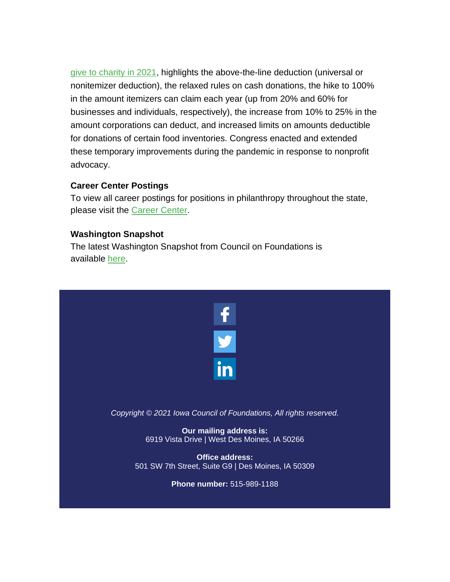[give to charity in 2021,](https://wa.iowacounciloffoundations.org/EmailTracker/LinkTracker.ashx?linkAndRecipientCode=%2fqMGg%2fgxKsUxK%2fqSmuHmYBlsbci0Kmot5JhsxOiYrhYTSqzTYEmtCpp3VESqARXmp6ll61ehlgE2DrgYnPr5rdFF%2fn%2fWZOZYz9%2b4Z8OvZk4%3d) highlights the above-the-line deduction (universal or nonitemizer deduction), the relaxed rules on cash donations, the hike to 100% in the amount itemizers can claim each year (up from 20% and 60% for businesses and individuals, respectively), the increase from 10% to 25% in the amount corporations can deduct, and increased limits on amounts deductible for donations of certain food inventories. Congress enacted and extended these temporary improvements during the pandemic in response to nonprofit advocacy.

### **Career Center Postings**

To view all career postings for positions in philanthropy throughout the state, please visit the [Career Center.](http://iowacounciloffoundations.org/career-center/)

### **Washington Snapshot**

The latest Washington Snapshot from Council on Foundations is available [here.](https://email.cof.org/snapshot-1635516470754)